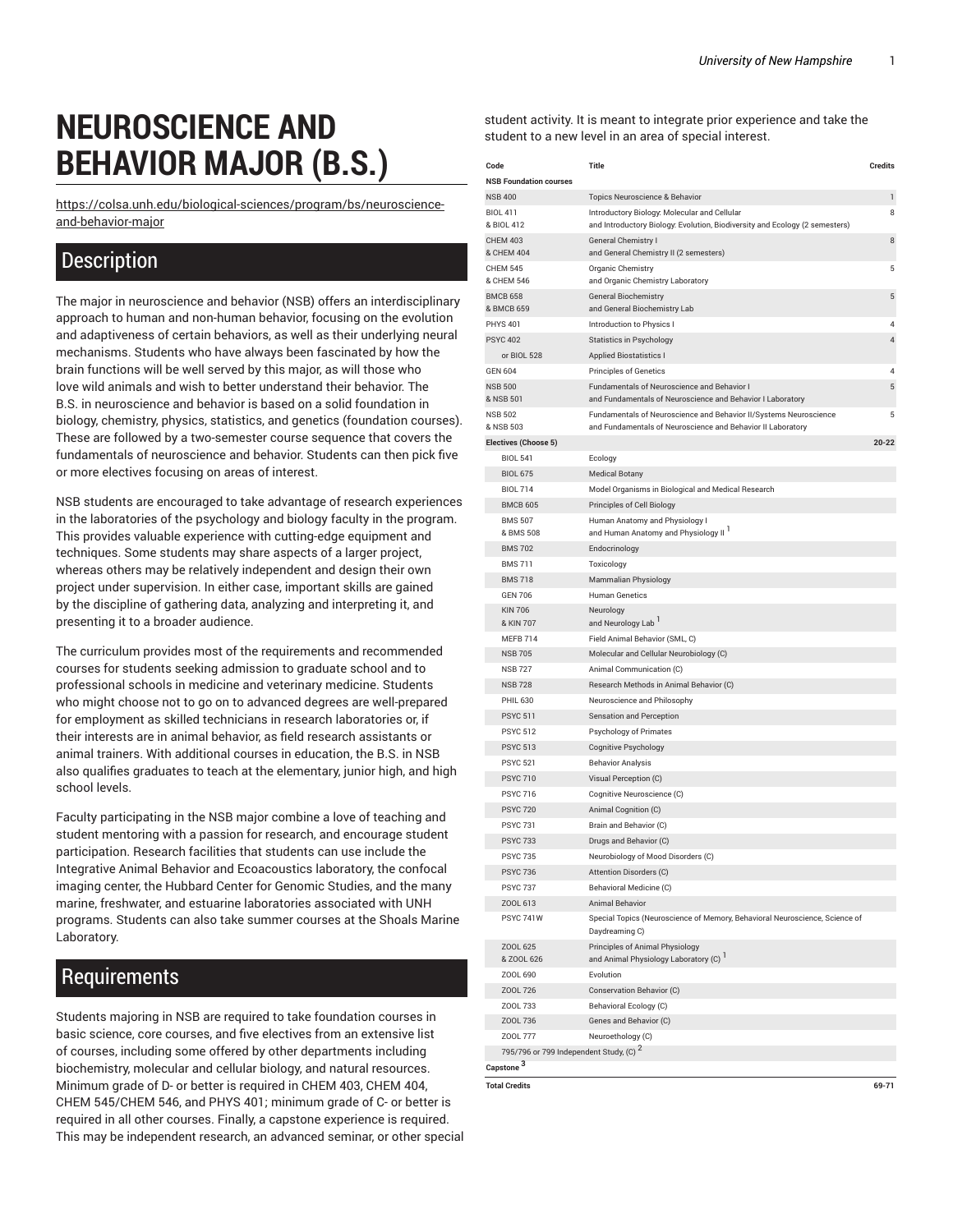## **NEUROSCIENCE AND BEHAVIOR MAJOR (B.S.)**

[https://colsa.unh.edu/biological-sciences/program/bs/neuroscience](https://colsa.unh.edu/biological-sciences/program/bs/neuroscience-and-behavior-major/)[and-behavior-major](https://colsa.unh.edu/biological-sciences/program/bs/neuroscience-and-behavior-major/)

## **Description**

The major in neuroscience and behavior (NSB) offers an interdisciplinary approach to human and non-human behavior, focusing on the evolution and adaptiveness of certain behaviors, as well as their underlying neural mechanisms. Students who have always been fascinated by how the brain functions will be well served by this major, as will those who love wild animals and wish to better understand their behavior. The B.S. in neuroscience and behavior is based on a solid foundation in biology, chemistry, physics, statistics, and genetics (foundation courses). These are followed by a two-semester course sequence that covers the fundamentals of neuroscience and behavior. Students can then pick five or more electives focusing on areas of interest.

NSB students are encouraged to take advantage of research experiences in the laboratories of the psychology and biology faculty in the program. This provides valuable experience with cutting-edge equipment and techniques. Some students may share aspects of a larger project, whereas others may be relatively independent and design their own project under supervision. In either case, important skills are gained by the discipline of gathering data, analyzing and interpreting it, and presenting it to a broader audience.

The curriculum provides most of the requirements and recommended courses for students seeking admission to graduate school and to professional schools in medicine and veterinary medicine. Students who might choose not to go on to advanced degrees are well-prepared for employment as skilled technicians in research laboratories or, if their interests are in animal behavior, as field research assistants or animal trainers. With additional courses in education, the B.S. in NSB also qualifies graduates to teach at the elementary, junior high, and high school levels.

Faculty participating in the NSB major combine a love of teaching and student mentoring with a passion for research, and encourage student participation. Research facilities that students can use include the Integrative Animal Behavior and Ecoacoustics laboratory, the confocal imaging center, the Hubbard Center for Genomic Studies, and the many marine, freshwater, and estuarine laboratories associated with UNH programs. Students can also take summer courses at the Shoals Marine Laboratory.

## Requirements

Students majoring in NSB are required to take foundation courses in basic science, core courses, and five electives from an extensive list of courses, including some offered by other departments including biochemistry, molecular and cellular biology, and natural resources. Minimum grade of D- or better is required in CHEM 403, CHEM 404, CHEM 545/CHEM 546, and PHYS 401; minimum grade of C- or better is required in all other courses. Finally, a capstone experience is required. This may be independent research, an advanced seminar, or other special student activity. It is meant to integrate prior experience and take the student to a new level in an area of special interest.

| Code                                       | <b>Title</b>                                                                                                                | <b>Credits</b> |
|--------------------------------------------|-----------------------------------------------------------------------------------------------------------------------------|----------------|
| <b>NSB Foundation courses</b>              |                                                                                                                             |                |
| <b>NSB 400</b>                             | Topics Neuroscience & Behavior                                                                                              | 1              |
| <b>BIOL 411</b><br>& BIOL 412              | Introductory Biology: Molecular and Cellular<br>and Introductory Biology. Evolution, Biodiversity and Ecology (2 semesters) | 8              |
| <b>CHEM 403</b><br>& CHEM 404              | <b>General Chemistry I</b><br>and General Chemistry II (2 semesters)                                                        | 8              |
| <b>CHEM 545</b><br>& CHEM 546              | Organic Chemistry<br>and Organic Chemistry Laboratory                                                                       | 5              |
| <b>BMCB 658</b><br>& BMCB 659              | <b>General Biochemistry</b><br>and General Biochemistry Lab                                                                 | 5              |
| <b>PHYS 401</b>                            | Introduction to Physics I                                                                                                   | 4              |
| <b>PSYC 402</b>                            | <b>Statistics in Psychology</b>                                                                                             | 4              |
| or BIOL 528                                | <b>Applied Biostatistics I</b>                                                                                              |                |
| GEN 604                                    | <b>Principles of Genetics</b>                                                                                               | 4              |
| <b>NSB 500</b><br>& NSB 501                | Fundamentals of Neuroscience and Behavior I<br>and Fundamentals of Neuroscience and Behavior I Laboratory                   | 5              |
| <b>NSB 502</b>                             | Fundamentals of Neuroscience and Behavior II/Systems Neuroscience                                                           | 5              |
| & NSB 503                                  | and Fundamentals of Neuroscience and Behavior II Laboratory                                                                 |                |
| <b>Electives (Choose 5)</b>                |                                                                                                                             | $20 - 22$      |
| <b>BIOL 541</b>                            | Ecology                                                                                                                     |                |
| <b>BIOL 675</b>                            | <b>Medical Botany</b>                                                                                                       |                |
| <b>BIOL 714</b>                            | Model Organisms in Biological and Medical Research                                                                          |                |
| <b>BMCB 605</b>                            | Principles of Cell Biology                                                                                                  |                |
| <b>BMS 507</b><br>& BMS 508                | Human Anatomy and Physiology I<br>and Human Anatomy and Physiology II                                                       |                |
| <b>BMS 702</b>                             | Endocrinology                                                                                                               |                |
| <b>BMS 711</b>                             | Toxicology                                                                                                                  |                |
| <b>BMS 718</b>                             | Mammalian Physiology                                                                                                        |                |
| <b>GEN 706</b>                             | <b>Human Genetics</b>                                                                                                       |                |
| <b>KIN 706</b><br>& KIN 707                | Neurology<br>and Neurology Lab <sup>1</sup>                                                                                 |                |
| MEFB 714                                   | Field Animal Behavior (SML, C)                                                                                              |                |
| <b>NSB 705</b>                             | Molecular and Cellular Neurobiology (C)                                                                                     |                |
| <b>NSB 727</b>                             | Animal Communication (C)                                                                                                    |                |
| <b>NSB 728</b>                             | Research Methods in Animal Behavior (C)                                                                                     |                |
| <b>PHIL 630</b>                            | Neuroscience and Philosophy                                                                                                 |                |
| <b>PSYC 511</b>                            | Sensation and Perception                                                                                                    |                |
| <b>PSYC 512</b>                            | Psychology of Primates                                                                                                      |                |
| <b>PSYC 513</b>                            | Cognitive Psychology                                                                                                        |                |
| <b>PSYC 521</b>                            | <b>Behavior Analysis</b>                                                                                                    |                |
| <b>PSYC 710</b>                            | Visual Perception (C)                                                                                                       |                |
| <b>PSYC 716</b>                            | Cognitive Neuroscience (C)                                                                                                  |                |
| <b>PSYC 720</b>                            | Animal Cognition (C)                                                                                                        |                |
| <b>PSYC 731</b>                            | Brain and Behavior (C)                                                                                                      |                |
| <b>PSYC 733</b>                            | Drugs and Behavior (C)                                                                                                      |                |
| <b>PSYC 735</b>                            | Neurobiology of Mood Disorders (C)                                                                                          |                |
| <b>PSYC 736</b>                            | Attention Disorders (C)                                                                                                     |                |
| <b>PSYC 737</b>                            | Behavioral Medicine (C)                                                                                                     |                |
| ZOOL 613                                   | <b>Animal Behavior</b>                                                                                                      |                |
| <b>PSYC 741W</b>                           | Special Topics (Neuroscience of Memory, Behavioral Neuroscience, Science of<br>Daydreaming C)                               |                |
| ZOOL 625<br>& ZOOL 626                     | Principles of Animal Physiology<br>and Animal Physiology Laboratory (C)                                                     |                |
| ZOOL 690                                   | Evolution                                                                                                                   |                |
| ZOOL 726                                   | Conservation Behavior (C)                                                                                                   |                |
| ZOOL 733                                   | Behavioral Ecology (C)                                                                                                      |                |
| ZOOL 736                                   | Genes and Behavior (C)                                                                                                      |                |
| Z00L 777                                   | Neuroethology (C)                                                                                                           |                |
| 795/796 or 799 Independent Study, (C) $^2$ |                                                                                                                             |                |
| Capstone <sup>3</sup>                      |                                                                                                                             |                |
|                                            |                                                                                                                             |                |

**Total Credits 69-71**